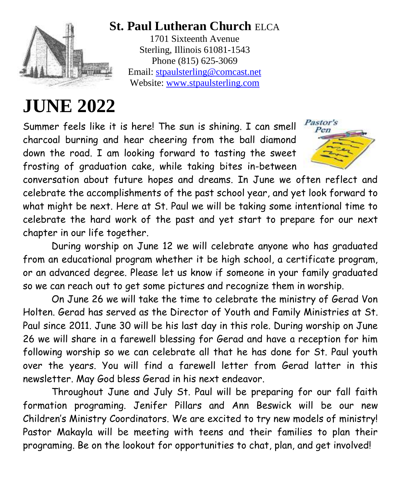

# **St. Paul Lutheran Church** ELCA

1701 Sixteenth Avenue Sterling, Illinois 61081-1543 Phone (815) 625-3069 Email: [stpaulsterling@comcast.net](mailto:stpaulsterling@comcast.net) Website: [www.stpaulsterling.com](http://www.stpaulsterling.com/)

# **JUNE 2022**

Summer feels like it is here! The sun is shining. I can smell charcoal burning and hear cheering from the ball diamond down the road. I am looking forward to tasting the sweet frosting of graduation cake, while taking bites in-between



conversation about future hopes and dreams. In June we often reflect and celebrate the accomplishments of the past school year, and yet look forward to what might be next. Here at St. Paul we will be taking some intentional time to celebrate the hard work of the past and yet start to prepare for our next chapter in our life together.

During worship on June 12 we will celebrate anyone who has graduated from an educational program whether it be high school, a certificate program, or an advanced degree. Please let us know if someone in your family graduated so we can reach out to get some pictures and recognize them in worship.

On June 26 we will take the time to celebrate the ministry of Gerad Von Holten. Gerad has served as the Director of Youth and Family Ministries at St. Paul since 2011. June 30 will be his last day in this role. During worship on June 26 we will share in a farewell blessing for Gerad and have a reception for him following worship so we can celebrate all that he has done for St. Paul youth over the years. You will find a farewell letter from Gerad latter in this newsletter. May God bless Gerad in his next endeavor.

Throughout June and July St. Paul will be preparing for our fall faith formation programing. Jenifer Pillars and Ann Beswick will be our new Children's Ministry Coordinators. We are excited to try new models of ministry! Pastor Makayla will be meeting with teens and their families to plan their programing. Be on the lookout for opportunities to chat, plan, and get involved!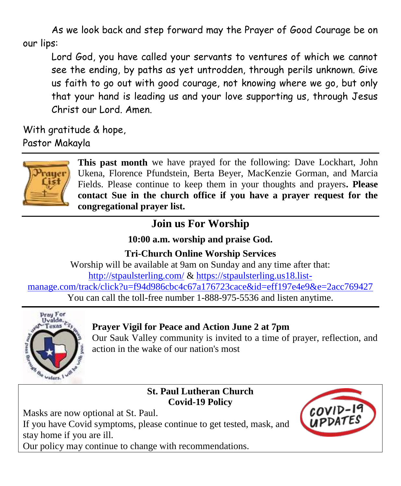As we look back and step forward may the Prayer of Good Courage be on our lips:

Lord God, you have called your servants to ventures of which we cannot see the ending, by paths as yet untrodden, through perils unknown. Give us faith to go out with good courage, not knowing where we go, but only that your hand is leading us and your love supporting us, through Jesus Christ our Lord. Amen.

With gratitude & hope, Pastor Makayla



**This past month** we have prayed for the following: Dave Lockhart, John Ukena, Florence Pfundstein, Berta Beyer, MacKenzie Gorman, and Marcia Fields. Please continue to keep them in your thoughts and prayers**. Please contact Sue in the church office if you have a prayer request for the congregational prayer list.**

# **Join us For Worship**

**10:00 a.m. worship and praise God.**

**Tri-Church Online Worship Services** Worship will be available at 9am on Sunday and any time after that: <http://stpaulsterling.com/> & [https://stpaulsterling.us18.list](https://stpaulsterling.us18.list-manage.com/track/click?u=f94d986cbc4c67a176723cace&id=eff197e4e9&e=2acc769427)[manage.com/track/click?u=f94d986cbc4c67a176723cace&id=eff197e4e9&e=2acc769427](https://stpaulsterling.us18.list-manage.com/track/click?u=f94d986cbc4c67a176723cace&id=eff197e4e9&e=2acc769427) You can call the toll-free number 1-888-975-5536 and listen anytime.



### **Prayer Vigil for Peace and Action June 2 at 7pm**

Our Sauk Valley community is invited to a time of prayer, reflection, and action in the wake of our nation's most

#### **St. Paul Lutheran Church Covid-19 Policy**

Masks are now optional at St. Paul.

If you have Covid symptoms, please continue to get tested, mask, and stay home if you are ill.

Our policy may continue to change with recommendations.

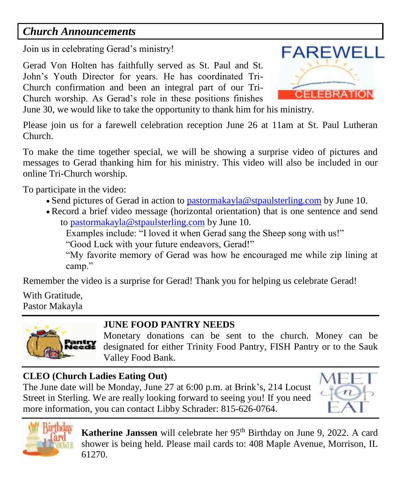### *Church Announcements*

Join us in celebrating Gerad's ministry!

Gerad Von Holten has faithfully served as St. Paul and St. John's Youth Director for years. He has coordinated Tri-Church confirmation and been an integral part of our Tri-Church worship. As Gerad's role in these positions finishes



June 30, we would like to take the opportunity to thank him for his ministry.

Please join us for a farewell celebration reception June 26 at 11am at St. Paul Lutheran Church.

To make the time together special, we will be showing a surprise video of pictures and messages to Gerad thanking him for his ministry. This video will also be included in our online Tri-Church worship.

To participate in the video:

- Send pictures of Gerad in action to [pastormakayla@stpaulsterling.com](mailto:pastormakayla@stpaulsterling.com) by June 10.
- Record a brief video message (horizontal orientation) that is one sentence and send to [pastormakayla@stpaulsterling.com](mailto:pastormakayla@stpaulsterling.com) by June 10.

Examples include: "I loved it when Gerad sang the Sheep song with us!"

"Good Luck with your future endeavors, Gerad!"

"My favorite memory of Gerad was how he encouraged me while zip lining at camp."

Remember the video is a surprise for Gerad! Thank you for helping us celebrate Gerad!

With Gratitude, Pastor Makayla

#### **JUNE FOOD PANTRY NEEDS**

Monetary donations can be sent to the church. Money can be designated for either Trinity Food Pantry, FISH Pantry or to the Sauk Valley Food Bank.

#### **CLEO (Church Ladies Eating Out)**

The June date will be Monday, June 27 at 6:00 p.m. at Brink's, 214 Locust Street in Sterling. We are really looking forward to seeing you! If you need more information, you can contact Libby Schrader: 815-626-0764.





Katherine Janssen will celebrate her 95<sup>th</sup> Birthday on June 9, 2022. A card shower is being held. Please mail cards to: 408 Maple Avenue, Morrison, IL 61270.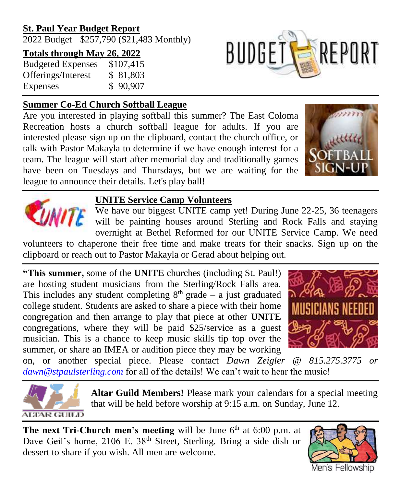#### **St. Paul Year Budget Report**

2022 Budget \$257,790 (\$21,483 Monthly)

#### **Totals through May 26, 2022**

Budgeted Expenses \$107,415 Offerings/Interest \$ 81,803 Expenses \$ 90,907

#### **Summer Co-Ed Church Softball League**

Are you interested in playing softball this summer? The East Coloma Recreation hosts a church softball league for adults. If you are interested please sign up on the clipboard, contact the church office, or talk with Pastor Makayla to determine if we have enough interest for a team. The league will start after memorial day and traditionally games have been on Tuesdays and Thursdays, but we are waiting for the league to announce their details. Let's play ball!



**BUDGETS REPORT** 



#### **UNITE Service Camp Volunteers**

We have our biggest UNITE camp yet! During June 22-25, 36 teenagers will be painting houses around Sterling and Rock Falls and staying overnight at Bethel Reformed for our UNITE Service Camp. We need

volunteers to chaperone their free time and make treats for their snacks. Sign up on the clipboard or reach out to Pastor Makayla or Gerad about helping out.

**"This summer,** some of the **UNITE** churches (including St. Paul!) are hosting student musicians from the Sterling/Rock Falls area. This includes any student completing  $8<sup>th</sup>$  grade – a just graduated college student. Students are asked to share a piece with their home congregation and then arrange to play that piece at other **UNITE** congregations, where they will be paid \$25/service as a guest musician. This is a chance to keep music skills tip top over the summer, or share an IMEA or audition piece they may be working



on, or another special piece. Please contact *Dawn Zeigler @ 815.275.3775 or [dawn@stpaulsterling.com](mailto:dawn@stpaulsterling.com)* for all of the details! We can't wait to hear the music!



**Altar Guild Members!** Please mark your calendars for a special meeting that will be held before worship at 9:15 a.m. on Sunday, June 12.

**The next Tri-Church men's meeting** will be June  $6<sup>th</sup>$  at 6:00 p.m. at Dave Geil's home, 2106 E. 38<sup>th</sup> Street, Sterling. Bring a side dish or dessert to share if you wish. All men are welcome.

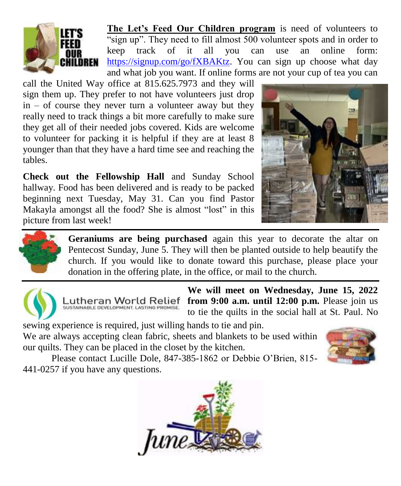

**The Let's Feed Our Children program** is need of volunteers to "sign up". They need to fill almost 500 volunteer spots and in order to keep track of it all you can use an online form: [https://signup.com/go/fXBAKtz.](https://signup.com/go/fXBAKtz) You can sign up choose what day and what job you want. If online forms are not your cup of tea you can

call the United Way office at 815.625.7973 and they will sign them up. They prefer to not have volunteers just drop  $in -$  of course they never turn a volunteer away but they really need to track things a bit more carefully to make sure they get all of their needed jobs covered. Kids are welcome to volunteer for packing it is helpful if they are at least 8 younger than that they have a hard time see and reaching the tables.

**Check out the Fellowship Hall** and Sunday School hallway. Food has been delivered and is ready to be packed beginning next Tuesday, May 31. Can you find Pastor Makayla amongst all the food? She is almost "lost" in this picture from last week!





**Geraniums are being purchased** again this year to decorate the altar on Pentecost Sunday, June 5. They will then be planted outside to help beautify the church. If you would like to donate toward this purchase, please place your donation in the offering plate, in the office, or mail to the church.





**We will meet on Wednesday, June 15, 2022 from 9:00 a.m. until 12:00 p.m.** Please join us to tie the quilts in the social hall at St. Paul. No

sewing experience is required, just willing hands to tie and pin. We are always accepting clean fabric, sheets and blankets to be used within our quilts. They can be placed in the closet by the kitchen.



Please contact Lucille Dole, 847-385-1862 or Debbie O'Brien, 815- 441-0257 if you have any questions.

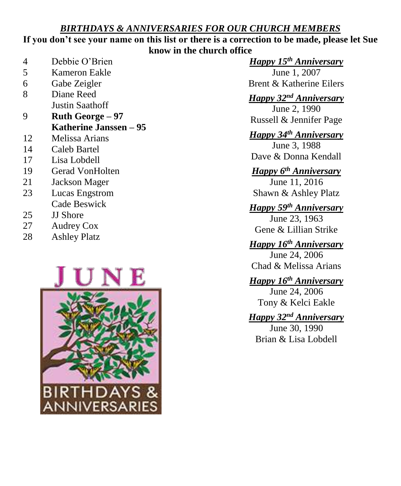#### *BIRTHDAYS & ANNIVERSARIES FOR OUR CHURCH MEMBERS*

#### **If you don't see your name on this list or there is a correction to be made, please let Sue know in the church office**

| 4 | Debbie O'Brien |
|---|----------------|
|   |                |

- 5 Kameron Eakle
- 6 Gabe Zeigler
- 8 Diane Reed Justin Saathoff
- 9 **Ruth George – 97 Katherine Janssen – 95**
- 12 Melissa Arians
- 14 Caleb Bartel
- 17 Lisa Lobdell
- 19 Gerad VonHolten
- 21 Jackson Mager
- 23 Lucas Engstrom Cade Beswick
- 25 JJ Shore
- 27 Audrey Cox
- 28 Ashley Platz



*Happy 15th Anniversary*

June 1, 2007 Brent & Katherine Eilers

*Happy 32nd Anniversary*

June 2, 1990 Russell & Jennifer Page

#### *Happy 34th Anniversary*

June 3, 1988 Dave & Donna Kendall

# *Happy 6 th Anniversary*

June 11, 2016 Shawn & Ashley Platz

#### *Happy 59th Anniversary*

June 23, 1963 Gene & Lillian Strike

#### *Happy 16th Anniversary*

June 24, 2006 Chad & Melissa Arians

*Happy 16th Anniversary* June 24, 2006 Tony & Kelci Eakle

#### *Happy 32nd Anniversary*

June 30, 1990 Brian & Lisa Lobdell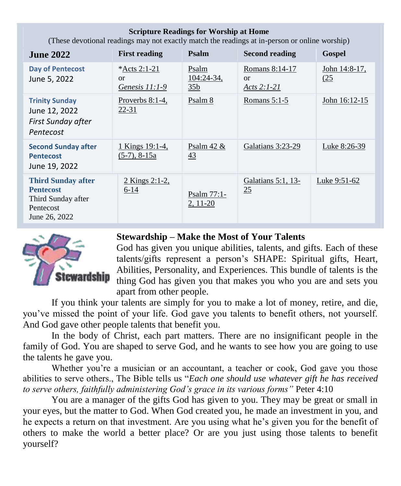| (These devotional readings may not exactly match the readings at in-person or online worship)     |                                          |                                          |                                             |                              |  |
|---------------------------------------------------------------------------------------------------|------------------------------------------|------------------------------------------|---------------------------------------------|------------------------------|--|
| <b>June 2022</b>                                                                                  | <b>First reading</b>                     | Psalm                                    | <b>Second reading</b>                       | Gospel                       |  |
| <b>Day of Pentecost</b><br>June 5, 2022                                                           | *Acts 2:1-21<br>or<br>Genesis 11:1-9     | Psalm<br>$104:24-34,$<br>35 <sub>b</sub> | Romans 8:14-17<br>$\alpha$<br>Acts $2:1-21$ | <u>John 14:8-17,</u><br>(25) |  |
| <b>Trinity Sunday</b><br>June 12, 2022<br>First Sunday after<br>Pentecost                         | Proverbs $8:1-4$ ,<br>22-31              | Psalm 8                                  | Romans $5:1-5$                              | John 16:12-15                |  |
| <b>Second Sunday after</b><br><b>Pentecost</b><br>June 19, 2022                                   | <u>1 Kings 19:1-4,</u><br>$(5-7), 8-15a$ | <u>Psalm 42 &amp;</u><br>$\overline{43}$ | Galatians 3:23-29                           | <u>Luke 8:26-39</u>          |  |
| <b>Third Sunday after</b><br><b>Pentecost</b><br>Third Sunday after<br>Pentecost<br>June 26, 2022 | <u>2 Kings 2:1-2,</u><br>$6 - 14$        | Psalm 77:1-<br>$2, 11-20$                | Galatians $5:1$ , $13-$<br>25               | Luke 9:51-62                 |  |

**Scripture Readings for Worship at Home**



#### **Stewardship – Make the Most of Your Talents**

God has given you unique abilities, talents, and gifts. Each of these talents/gifts represent a person's SHAPE: Spiritual gifts, Heart, Abilities, Personality, and Experiences. This bundle of talents is the thing God has given you that makes you who you are and sets you apart from other people.

If you think your talents are simply for you to make a lot of money, retire, and die, you've missed the point of your life. God gave you talents to benefit others, not yourself. And God gave other people talents that benefit you.

In the body of Christ, each part matters. There are no insignificant people in the family of God. You are shaped to serve God, and he wants to see how you are going to use the talents he gave you.

Whether you're a musician or an accountant, a teacher or cook, God gave you those abilities to serve others., The Bible tells us "*Each one should use whatever gift he has received to serve others, faithfully administering God's grace in its various forms"* Peter 4:10

You are a manager of the gifts God has given to you. They may be great or small in your eyes, but the matter to God. When God created you, he made an investment in you, and he expects a return on that investment. Are you using what he's given you for the benefit of others to make the world a better place? Or are you just using those talents to benefit yourself?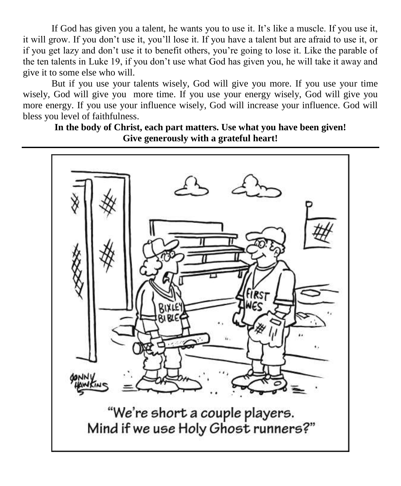If God has given you a talent, he wants you to use it. It's like a muscle. If you use it, it will grow. If you don't use it, you'll lose it. If you have a talent but are afraid to use it, or if you get lazy and don't use it to benefit others, you're going to lose it. Like the parable of the ten talents in Luke 19, if you don't use what God has given you, he will take it away and give it to some else who will.

But if you use your talents wisely, God will give you more. If you use your time wisely, God will give you more time. If you use your energy wisely, God will give you more energy. If you use your influence wisely, God will increase your influence. God will bless you level of faithfulness.

**In the body of Christ, each part matters. Use what you have been given! Give generously with a grateful heart!**

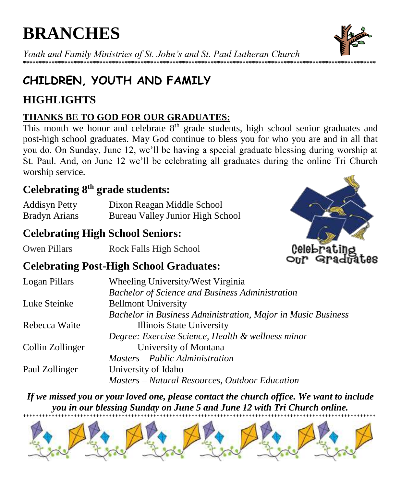# **BRANCHES**

Youth and Family Ministries of St. John's and St. Paul Lutheran Church \*\*\*\*\*\*\*\*\*\*\*\*\*\*\*\*\*\*\*

# CHILDREN, YOUTH AND FAMILY

# **HIGHLIGHTS**

#### **THANKS BE TO GOD FOR OUR GRADUATES:**

This month we honor and celebrate 8<sup>th</sup> grade students, high school senior graduates and post-high school graduates. May God continue to bless you for who you are and in all that you do. On Sunday, June 12, we'll be having a special graduate blessing during worship at St. Paul. And, on June 12 we'll be celebrating all graduates during the online Tri Church worship service.

# Celebrating  $8<sup>th</sup>$  grade students:

| <b>Addisyn Petty</b> | Dixon Reagan Middle School       |
|----------------------|----------------------------------|
| <b>Bradyn Arians</b> | Bureau Valley Junior High School |

# **Celebrating High School Seniors:**

Owen Pillars Rock Falls High School



# **Celebrating Post-High School Graduates:**

| Logan Pillars    | Wheeling University/West Virginia                            |  |
|------------------|--------------------------------------------------------------|--|
|                  | <b>Bachelor of Science and Business Administration</b>       |  |
| Luke Steinke     | <b>Bellmont University</b>                                   |  |
|                  | Bachelor in Business Administration, Major in Music Business |  |
| Rebecca Waite    | Illinois State University                                    |  |
|                  | Degree: Exercise Science, Health & wellness minor            |  |
| Collin Zollinger | University of Montana                                        |  |
|                  | Masters – Public Administration                              |  |
| Paul Zollinger   | University of Idaho                                          |  |
|                  | Masters - Natural Resources, Outdoor Education               |  |

If we missed you or your loved one, please contact the church office. We want to include you in our blessing Sunday on June 5 and June 12 with Tri Church online.



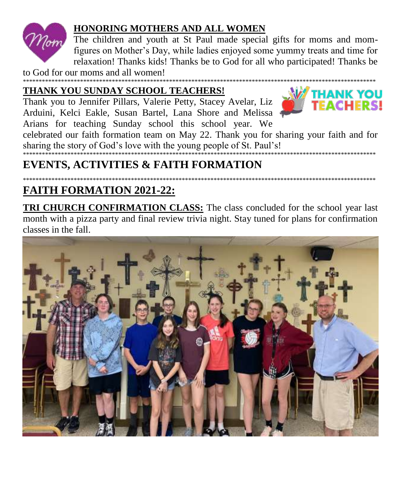

#### **HONORING MOTHERS AND ALL WOMEN**

The children and youth at St Paul made special gifts for moms and momfigures on Mother's Day, while ladies enjoyed some yummy treats and time for relaxation! Thanks kids! Thanks be to God for all who participated! Thanks be

to God for our moms and all women!

# THANK YOU SUNDAY SCHOOL TEACHERS!

Thank you to Jennifer Pillars, Valerie Petty, Stacey Avelar, Liz Arduini, Kelci Eakle, Susan Bartel, Lana Shore and Melissa Arians for teaching Sunday school this school year. We



celebrated our faith formation team on May 22. Thank you for sharing your faith and for sharing the story of God's love with the young people of St. Paul's! \*\*\*\*\*\*\*\*\*\*\*\*\*\*\*\*\*\*\*\*\*\*\*\*\*\*\*\*\*\*\*\*\*

# **EVENTS, ACTIVITIES & FAITH FORMATION**

# **FAITH FORMATION 2021-22:**

**TRI CHURCH CONFIRMATION CLASS:** The class concluded for the school year last month with a pizza party and final review trivia night. Stay tuned for plans for confirmation classes in the fall.

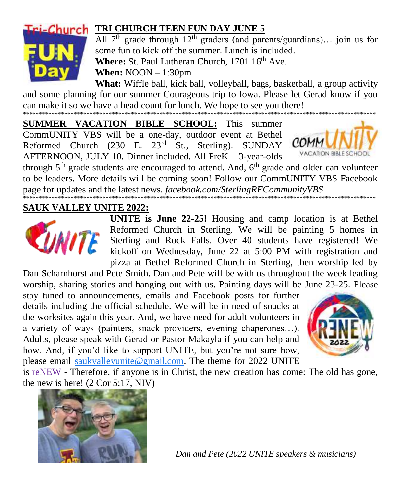

# **Cri-Church TRI CHURCH TEEN FUN DAY JUNE 5**

All  $7<sup>th</sup>$  grade through  $12<sup>th</sup>$  graders (and parents/guardians)... join us for some fun to kick off the summer. Lunch is included. Where: St. Paul Lutheran Church, 1701 16<sup>th</sup> Ave.

**When:**  $NOON - 1:30pm$ 

What: Wiffle ball, kick ball, volleyball, bags, basketball, a group activity and some planning for our summer Courageous trip to Iowa. Please let Gerad know if you can make it so we have a head count for lunch. We hope to see you there!

**SUMMER VACATION BIBLE SCHOOL:** This summer CommUNITY VBS will be a one-day, outdoor event at Bethel Reformed Church (230 E. 23<sup>rd</sup> St., Sterling). SUNDAY AFTERNOON, JULY 10. Dinner included. All PreK - 3-year-olds



through 5<sup>th</sup> grade students are encouraged to attend. And, 6<sup>th</sup> grade and older can volunteer to be leaders. More details will be coming soon! Follow our CommUNITY VBS Facebook page for updates and the latest news. facebook.com/SterlingRFCommunityVBS

**SAUK VALLEY UNITE 2022:** 



UNITE is June 22-25! Housing and camp location is at Bethel Reformed Church in Sterling. We will be painting 5 homes in Reformed Church in Sterling. We win to painting a new Media Sterling and Rock Falls. Over 40 students have registered! We kickoff on Wednesday, June 22 at 5:00 PM with registration and pizza at Bethel Reformed Church in Sterling, then worship led by

Dan Scharnhorst and Pete Smith. Dan and Pete will be with us throughout the week leading worship, sharing stories and hanging out with us. Painting days will be June 23-25. Please

stay tuned to announcements, emails and Facebook posts for further details including the official schedule. We will be in need of snacks at the worksites again this year. And, we have need for adult volunteers in a variety of ways (painters, snack providers, evening chaperones...). Adults, please speak with Gerad or Pastor Makayla if you can help and how. And, if you'd like to support UNITE, but you're not sure how, please email saukvalleyunite@gmail.com. The theme for 2022 UNITE



is reNEW - Therefore, if anyone is in Christ, the new creation has come: The old has gone, the new is here!  $(2 Cor 5:17, NIV)$ 



Dan and Pete (2022 UNITE speakers & musicians)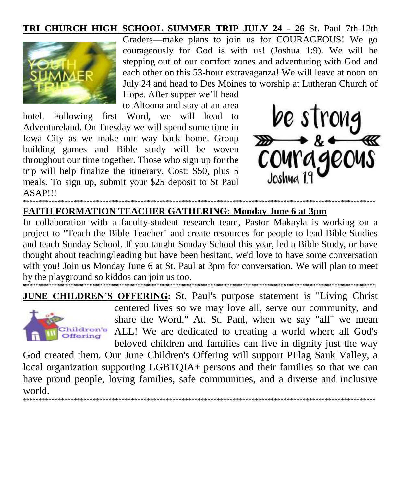#### TRI CHURCH HIGH SCHOOL SUMMER TRIP JULY 24 - 26 St. Paul 7th-12th



Graders—make plans to join us for COURAGEOUS! We go courageously for God is with us! (Joshua 1:9). We will be stepping out of our comfort zones and adventuring with God and each other on this 53-hour extravaganza! We will leave at noon on July 24 and head to Des Moines to worship at Lutheran Church of

Hope. After supper we'll head to Altoona and stay at an area

hotel. Following first Word, we will head to Adventureland. On Tuesday we will spend some time in Iowa City as we make our way back home. Group building games and Bible study will be woven throughout our time together. Those who sign up for the trip will help finalize the itinerary. Cost: \$50, plus 5 meals. To sign up, submit your \$25 deposit to St Paul **ASAPIII** 



#### **FAITH FORMATION TEACHER GATHERING: Monday June 6 at 3pm**

In collaboration with a faculty-student research team, Pastor Makayla is working on a project to "Teach the Bible Teacher" and create resources for people to lead Bible Studies and teach Sunday School. If you taught Sunday School this year, led a Bible Study, or have thought about teaching/leading but have been hesitant, we'd love to have some conversation with you! Join us Monday June 6 at St. Paul at 3pm for conversation. We will plan to meet by the playground so kiddos can join us too.



**JUNE CHILDREN'S OFFERING: St. Paul's purpose statement is "Living Christ"** centered lives so we may love all, serve our community, and share the Word." At. St. Paul, when we say "all" we mean ALL! We are dedicated to creating a world where all God's beloved children and families can live in dignity just the way

God created them. Our June Children's Offering will support PFlag Sauk Valley, a local organization supporting LGBTQIA+ persons and their families so that we can have proud people, loving families, safe communities, and a diverse and inclusive world.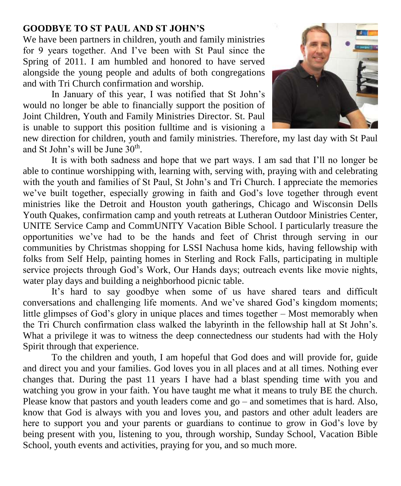#### **GOODBYE TO ST PAUL AND ST JOHN'S**

We have been partners in children, youth and family ministries for 9 years together. And I've been with St Paul since the Spring of 2011. I am humbled and honored to have served alongside the young people and adults of both congregations and with Tri Church confirmation and worship.

In January of this year, I was notified that St John's would no longer be able to financially support the position of Joint Children, Youth and Family Ministries Director. St. Paul is unable to support this position fulltime and is visioning a



new direction for children, youth and family ministries. Therefore, my last day with St Paul and St John's will be June 30<sup>th</sup>.

It is with both sadness and hope that we part ways. I am sad that I'll no longer be able to continue worshipping with, learning with, serving with, praying with and celebrating with the youth and families of St Paul, St John's and Tri Church. I appreciate the memories we've built together, especially growing in faith and God's love together through event ministries like the Detroit and Houston youth gatherings, Chicago and Wisconsin Dells Youth Quakes, confirmation camp and youth retreats at Lutheran Outdoor Ministries Center, UNITE Service Camp and CommUNITY Vacation Bible School. I particularly treasure the opportunities we've had to be the hands and feet of Christ through serving in our communities by Christmas shopping for LSSI Nachusa home kids, having fellowship with folks from Self Help, painting homes in Sterling and Rock Falls, participating in multiple service projects through God's Work, Our Hands days; outreach events like movie nights, water play days and building a neighborhood picnic table.

It's hard to say goodbye when some of us have shared tears and difficult conversations and challenging life moments. And we've shared God's kingdom moments; little glimpses of God's glory in unique places and times together – Most memorably when the Tri Church confirmation class walked the labyrinth in the fellowship hall at St John's. What a privilege it was to witness the deep connectedness our students had with the Holy Spirit through that experience.

To the children and youth, I am hopeful that God does and will provide for, guide and direct you and your families. God loves you in all places and at all times. Nothing ever changes that. During the past 11 years I have had a blast spending time with you and watching you grow in your faith. You have taught me what it means to truly BE the church. Please know that pastors and youth leaders come and go – and sometimes that is hard. Also, know that God is always with you and loves you, and pastors and other adult leaders are here to support you and your parents or guardians to continue to grow in God's love by being present with you, listening to you, through worship, Sunday School, Vacation Bible School, youth events and activities, praying for you, and so much more.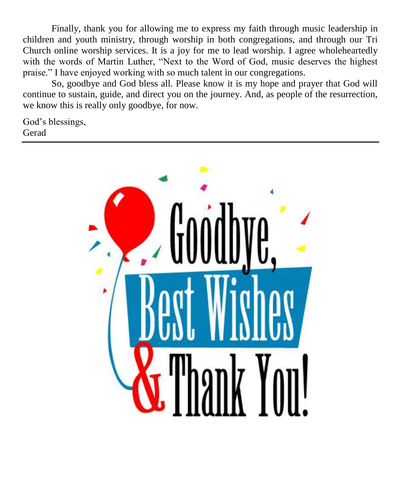Finally, thank you for allowing me to express my faith through music leadership in children and youth ministry, through worship in both congregations, and through our Tri Church online worship services. It is a joy for me to lead worship. I agree wholeheartedly with the words of Martin Luther, "Next to the Word of God, music deserves the highest praise." I have enjoyed working with so much talent in our congregations.

So, goodbye and God bless all. Please know it is my hope and prayer that God will continue to sustain, guide, and direct you on the journey. And, as people of the resurrection, we know this is really only goodbye, for now.

God's blessings, Gerad

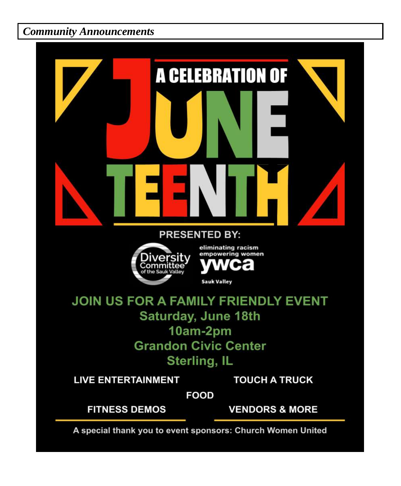*Community Announcements*

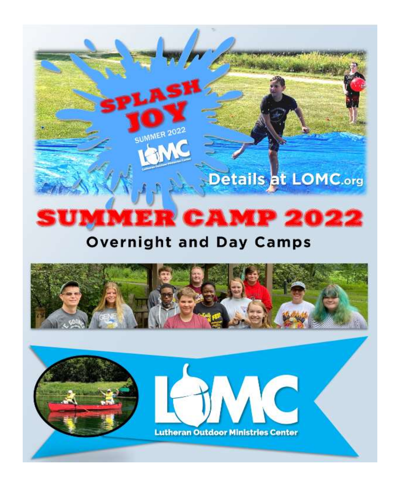# R CAMP 2022 **M**

**Details at LOMC.org** 

SUMMER 202

# **Overnight and Day Camps**

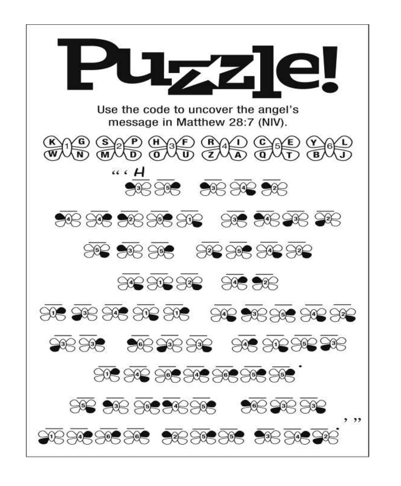![](_page_16_Picture_0.jpeg)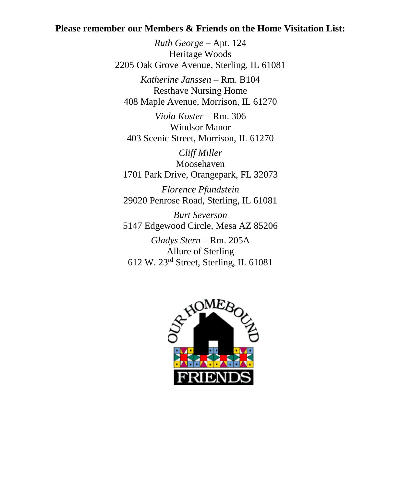#### **Please remember our Members & Friends on the Home Visitation List:**

*Ruth George* – Apt. 124 Heritage Woods 2205 Oak Grove Avenue, Sterling, IL 61081 *Katherine Janssen* – Rm. B104

Resthave Nursing Home 408 Maple Avenue, Morrison, IL 61270

*Viola Koster* – Rm. 306 Windsor Manor 403 Scenic Street, Morrison, IL 61270

*Cliff Miller* Moosehaven 1701 Park Drive, Orangepark, FL 32073

*Florence Pfundstein* 29020 Penrose Road, Sterling, IL 61081

*Burt Severson* 5147 Edgewood Circle, Mesa AZ 85206

*Gladys Stern* – Rm. 205A Allure of Sterling 612 W. 23rd Street, Sterling, IL 61081

![](_page_17_Picture_8.jpeg)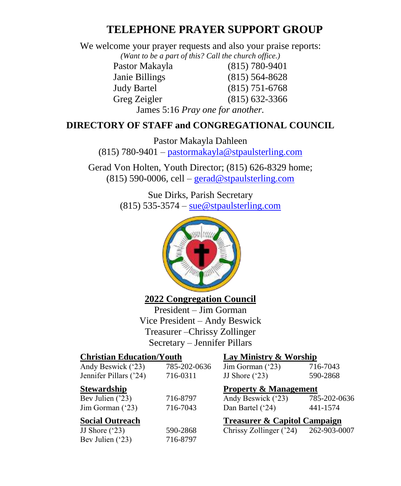#### **TELEPHONE PRAYER SUPPORT GROUP**

We welcome your prayer requests and also your praise reports:

*(Want to be a part of this? Call the church office.)*

Pastor Makayla (815) 780-9401 Janie Billings (815) 564-8628 Judy Bartel (815) 751-6768 Greg Zeigler (815) 632-3366

James 5:16 *Pray one for another.*

#### **DIRECTORY OF STAFF and CONGREGATIONAL COUNCIL**

Pastor Makayla Dahleen (815) 780-9401 – [pastormakayla@stpaulsterling.com](mailto:pastormakayla@stpaulsterling.com)

Gerad Von Holten, Youth Director; (815) 626-8329 home;  $(815)$  590-0006, cell – [gerad@stpaulsterling.com](mailto:gerad@stpaulsterling.com)

> Sue Dirks, Parish Secretary  $(815)$  535-3574 – [sue@stpaulsterling.com](mailto:sue@stpaulsterling.com)

![](_page_18_Picture_10.jpeg)

#### **2022 Congregation Council**

President – Jim Gorman Vice President – Andy Beswick Treasurer –Chrissy Zollinger Secretary – Jennifer Pillars

| Lay Ministry & Worship                  |                                  |  |  |
|-----------------------------------------|----------------------------------|--|--|
| 785-202-0636<br>Jim Gorman $('23)$      | 716-7043                         |  |  |
| JJ Shore $('23)$                        | 590-2868                         |  |  |
|                                         | <b>Property &amp; Management</b> |  |  |
| Andy Beswick ('23)                      | 785-202-0636                     |  |  |
| Dan Bartel ('24)                        | 441-1574                         |  |  |
| <b>Treasurer &amp; Capitol Campaign</b> |                                  |  |  |
| Chrissy Zollinger ('24)                 | 262-903-0007                     |  |  |
|                                         |                                  |  |  |
|                                         |                                  |  |  |